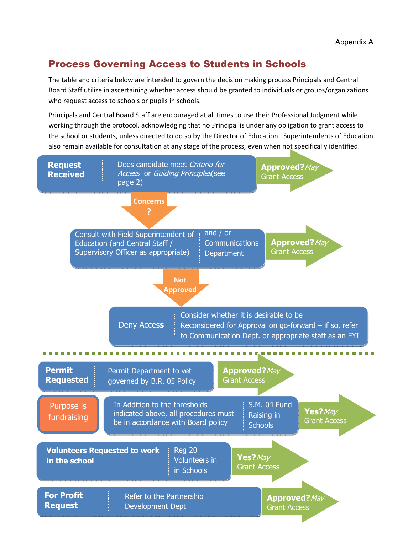## Process Governing Access to Students in Schools

The table and criteria below are intended to govern the decision making process Principals and Central Board Staff utilize in ascertaining whether access should be granted to individuals or groups/organizations who request access to schools or pupils in schools.

Principals and Central Board Staff are encouraged at all times to use their Professional Judgment while working through the protocol, acknowledging that no Principal is under any obligation to grant access to the school or students, unless directed to do so by the Director of Education. Superintendents of Education also remain available for consultation at any stage of the process, even when not specifically identified.

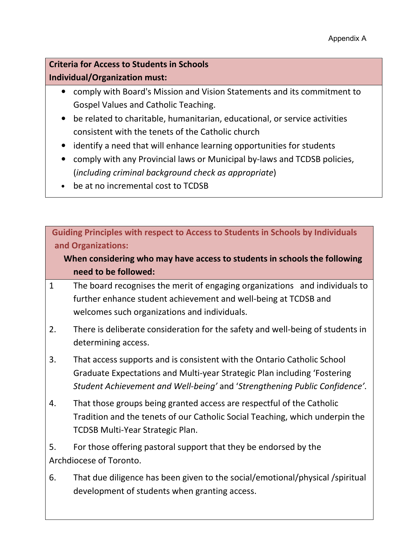## Criteria for Access to Students in Schools Individual/Organization must:

- • comply with Board's Mission and Vision Statements and its commitment to Gospel Values and Catholic Teaching.
- • be related to charitable, humanitarian, educational, or service activities consistent with the tenets of the Catholic church
- identify a need that will enhance learning opportunities for students
- • comply with any Provincial laws or Municipal by-laws and TCDSB policies, (including criminal background check as appropriate)
- be at no incremental cost to TCDSB

 Guiding Principles with respect to Access to Students in Schools by Individuals and Organizations:

## When considering who may have access to students in schools the following need to be followed:

- $\mathbf{1}$  further enhance student achievement and well-being at TCDSB and welcomes such organizations and individuals. 1 The board recognises the merit of engaging organizations and individuals to
- 2. There is deliberate consideration for the safety and well-being of students in determining access.
- 3. That access supports and is consistent with the Ontario Catholic School Graduate Expectations and Multi-year Strategic Plan including 'Fostering Student Achievement and Well-being' and 'Strengthening Public Confidence'.
- 4. That those groups being granted access are respectful of the Catholic Tradition and the tenets of our Catholic Social Teaching, which underpin the TCDSB Multi-Year Strategic Plan.
- 5. For those offering pastoral support that they be endorsed by the Archdiocese of Toronto.
- 6. That due diligence has been given to the social/emotional/physical /spiritual development of students when granting access.